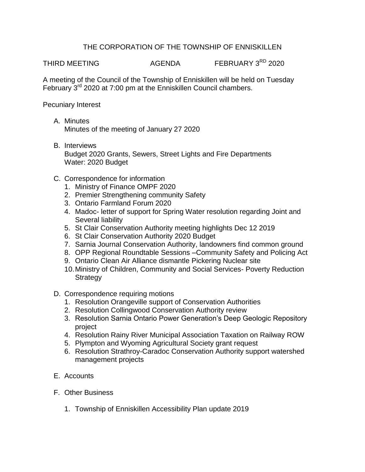## THE CORPORATION OF THE TOWNSHIP OF ENNISKILLEN

THIRD MEETING AGENDA FEBRUARY 3<sup>RD</sup> 2020

A meeting of the Council of the Township of Enniskillen will be held on Tuesday February  $3<sup>rd</sup>$  2020 at 7:00 pm at the Enniskillen Council chambers.

Pecuniary Interest

- A. Minutes Minutes of the meeting of January 27 2020
- B. Interviews Budget 2020 Grants, Sewers, Street Lights and Fire Departments Water: 2020 Budget
- C. Correspondence for information
	- 1. Ministry of Finance OMPF 2020
	- 2. Premier Strengthening community Safety
	- 3. Ontario Farmland Forum 2020
	- 4. Madoc- letter of support for Spring Water resolution regarding Joint and Several liability
	- 5. St Clair Conservation Authority meeting highlights Dec 12 2019
	- 6. St Clair Conservation Authority 2020 Budget
	- 7. Sarnia Journal Conservation Authority, landowners find common ground
	- 8. OPP Regional Roundtable Sessions –Community Safety and Policing Act
	- 9. Ontario Clean Air Alliance dismantle Pickering Nuclear site
	- 10.Ministry of Children, Community and Social Services- Poverty Reduction **Strategy**
- D. Correspondence requiring motions
	- 1. Resolution Orangeville support of Conservation Authorities
	- 2. Resolution Collingwood Conservation Authority review
	- 3. Resolution Sarnia Ontario Power Generation's Deep Geologic Repository project
	- 4. Resolution Rainy River Municipal Association Taxation on Railway ROW
	- 5. Plympton and Wyoming Agricultural Society grant request
	- 6. Resolution Strathroy-Caradoc Conservation Authority support watershed management projects
- E. Accounts
- F. Other Business
	- 1. Township of Enniskillen Accessibility Plan update 2019